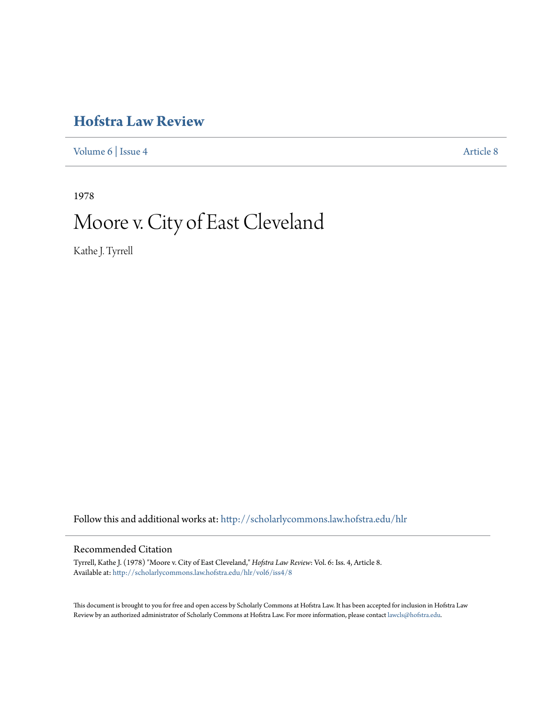# **[Hofstra Law Review](http://scholarlycommons.law.hofstra.edu/hlr?utm_source=scholarlycommons.law.hofstra.edu%2Fhlr%2Fvol6%2Fiss4%2F8&utm_medium=PDF&utm_campaign=PDFCoverPages)**

[Volume 6](http://scholarlycommons.law.hofstra.edu/hlr/vol6?utm_source=scholarlycommons.law.hofstra.edu%2Fhlr%2Fvol6%2Fiss4%2F8&utm_medium=PDF&utm_campaign=PDFCoverPages) | [Issue 4](http://scholarlycommons.law.hofstra.edu/hlr/vol6/iss4?utm_source=scholarlycommons.law.hofstra.edu%2Fhlr%2Fvol6%2Fiss4%2F8&utm_medium=PDF&utm_campaign=PDFCoverPages) [Article 8](http://scholarlycommons.law.hofstra.edu/hlr/vol6/iss4/8?utm_source=scholarlycommons.law.hofstra.edu%2Fhlr%2Fvol6%2Fiss4%2F8&utm_medium=PDF&utm_campaign=PDFCoverPages)

1978

# Moore v. City of East Cleveland

Kathe J. Tyrrell

Follow this and additional works at: [http://scholarlycommons.law.hofstra.edu/hlr](http://scholarlycommons.law.hofstra.edu/hlr?utm_source=scholarlycommons.law.hofstra.edu%2Fhlr%2Fvol6%2Fiss4%2F8&utm_medium=PDF&utm_campaign=PDFCoverPages)

# Recommended Citation

Tyrrell, Kathe J. (1978) "Moore v. City of East Cleveland," *Hofstra Law Review*: Vol. 6: Iss. 4, Article 8. Available at: [http://scholarlycommons.law.hofstra.edu/hlr/vol6/iss4/8](http://scholarlycommons.law.hofstra.edu/hlr/vol6/iss4/8?utm_source=scholarlycommons.law.hofstra.edu%2Fhlr%2Fvol6%2Fiss4%2F8&utm_medium=PDF&utm_campaign=PDFCoverPages)

This document is brought to you for free and open access by Scholarly Commons at Hofstra Law. It has been accepted for inclusion in Hofstra Law Review by an authorized administrator of Scholarly Commons at Hofstra Law. For more information, please contact [lawcls@hofstra.edu](mailto:lawcls@hofstra.edu).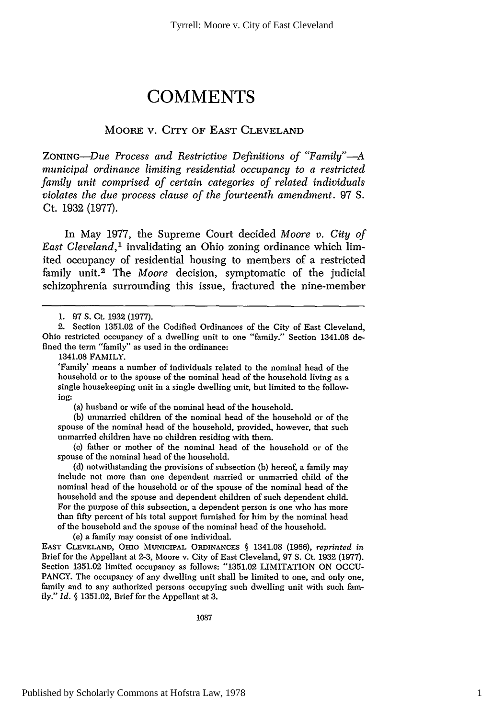# **COMMENTS**

## MOORE V. CITY OF EAST CLEVELAND

*ZONINc-Due Process and Restrictive Definitions of "Family"-A municipal ordinance limiting residential occupancy to a restricted family unit comprised of certain categories of related individuals violates the due process clause of the fourteenth amendment.* 97 S. Ct. **1932 (1977).**

In May 1977, the Supreme Court decided *Moore v. City of East Cleveland,'* invalidating an Ohio zoning ordinance which limited occupancy of residential housing to members of a restricted family unit.<sup>2</sup> The *Moore* decision, symptomatic of the judicial schizophrenia surrounding this issue, fractured the nine-member

1341.08 FAMILY.

'Family' means a number of individuals related to the nominal head of the household or to the spouse of the nominal head of the household living as a single housekeeping unit in a single dwelling unit, but limited to the following:

(a) husband or wife of the nominal head of the household.

(b) unmarried children of the nominal head of the household or of the spouse of the nominal head of the household, provided, however, that such unmarried children have no children residing with them.

(c) father or mother of the nominal head of the household or of the spouse of the nominal head of the household.

(d) notwithstanding the provisions of subsection (b) hereof, a family may include not more than one dependent married or unmarried child of the nominal head of the household or of the spouse of the nominal head of the household and the spouse and dependent children of such dependent child. For the purpose of this subsection, a dependent person is one who has more than fifty percent of his total support furnished for him by the nominal head of the household and the spouse of the nominal head of the household.

(e) a family may consist of one individual.

**EAST CLEVELAND, OHIO** MUNICIPAL **ORDINANCES §** 1341.08 (1966), *reprinted in* Brief for the Appellant at 2-3, Moore v. City of East Cleveland, 97 **S.** Ct. 1932 (1977). Section 1351.02 limited occupancy as follows: "1351.02 LIMITATION ON OCCU-PANCY. The occupancy of any dwelling unit shall be limited to one, and only one, family and to any authorized persons occupying such dwelling unit with such family." *Id.* § 1351.02, Brief for the Appellant at 3.

1087

<sup>1. 97</sup> **S.** Ct. 1932 (1977).

<sup>2.</sup> Section 1351.02 of the Codified Ordinances of the City of East Cleveland, Ohio restricted occupancy of a dwelling unit to one "family." Section 1341.08 defined the term "family" as used in the ordinance: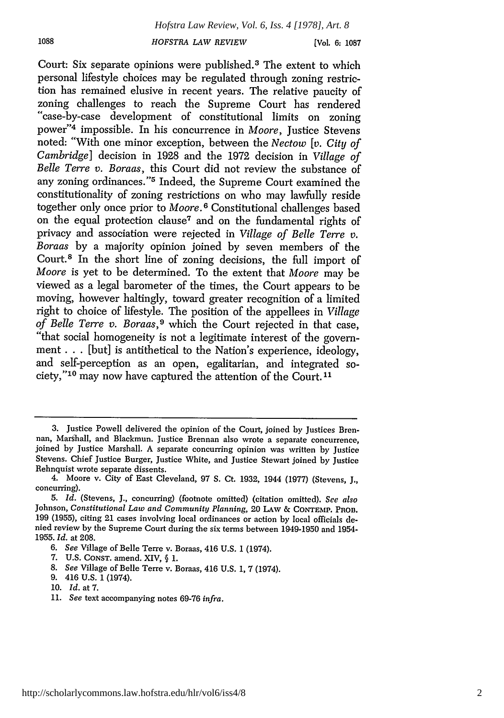[Vol. **6: 1087**

Court: Six separate opinions were published.<sup>3</sup> The extent to which personal lifestyle choices may be regulated through zoning restriction has remained elusive in recent years. The relative paucity of "case-by-case development of constitutional limits on zoning power"4 impossible. In his concurrence in *Moore,* Justice Stevens noted: "With one minor exception, between the *Nectow [v. City of Cambridge]* decision in 1928 and the 1972 decision in *Village of Belle Terre v. Boraas,* this Court did not review the substance of any zoning ordinances."<sup>5</sup> Indeed, the Supreme Court examined the constitutionality of zoning restrictions on who may lawfully reside together only once prior to *Moore*.<sup>6</sup> Constitutional challenges based on the equal protection clause<sup>7</sup> and on the fundamental rights of privacy and association were rejected in *Village of Belle Terre v. Boraas* by a majority opinion joined by seven members of the Court.8 In the short line of zoning decisions, the full import of *Moore* is yet to be determined. To the extent that *Moore* may be viewed as a legal barometer of the times, the Court appears to be moving, however haltingly, toward greater recognition of a limited right to choice of lifestyle. The position of the appellees in *Village of Belle Terre v. Boraas,9* which the Court rejected in that case, "that social homogeneity is not a legitimate interest of the government... [but] is antithetical to the Nation's experience, ideology, and self-perception as an open, egalitarian, and integrated society," 10 may now have captured the attention of the Court. **11**

10. *Id.* at 7.

<sup>3.</sup> Justice Powell delivered the opinion of the Court, joined by Justices Brennan, Marshall, and Blackmun. Justice Brennan also wrote a separate concurrence, joined by Justice Marshall. A separate concurring opinion was written by Justice Stevens. Chief Justice Burger, Justice White, and Justice Stewart joined by Justice Rehnquist wrote separate dissents.

<sup>4.</sup> Moore v. City of East Cleveland, 97 **S.** Ct. 1932, 1944 (1977) (Stevens, J., concurring).

<sup>5.</sup> *Id.* (Stevens, J., concurring) (footnote omitted) (citation omitted). *See also* Johnson, *Constitutional Law and Community Planning,* 20 LAw & CONTEMP. PROB. 199 (1955), citing 21 cases involving local ordinances or action by local officials denied review by the Supreme Court during the six terms between 1949-1950 and 1954- 1955. *Id.* at 208.

*<sup>6.</sup> See* Village of Belle Terre v. Boraas, 416 U.S. 1 (1974).

<sup>7.</sup> U.S. CONST. amend. XIV, § 1.

<sup>8.</sup> *See* Village of Belle Terre v. Boraas, 416 U.S. 1, 7 (1974).

<sup>9. 416</sup> U.S. 1 (1974).

<sup>11.</sup> *See* text accompanying notes 69-76 *infra.*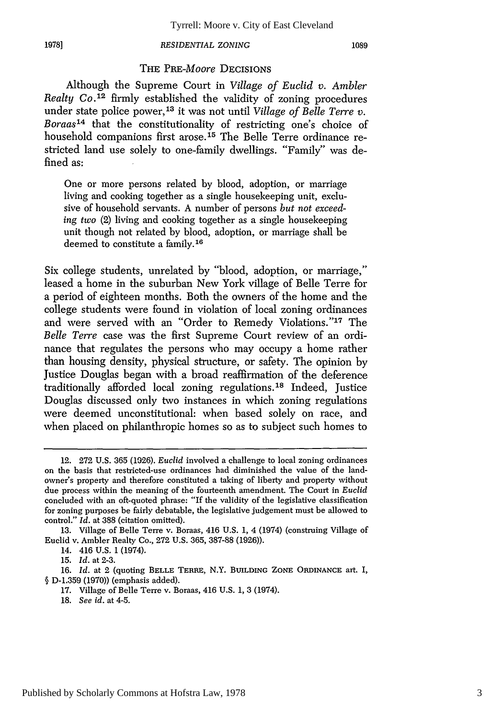## THE *PRE-Moore* DECISIONS

Although the Supreme Court in *Village of Euclid v. Ambler Realty Co.12* firmly established the validity of zoning procedures under state police power, 13 it was not until *Village of Belle Terre v. Boraas14* that the constitutionality of restricting one's choice of household companions first arose.<sup>15</sup> The Belle Terre ordinance restricted land use solely to one-family dwellings. "Family" was defined as:

One or more persons related by blood, adoption, or marriage living and cooking together as a single housekeeping unit, exclusive of household servants. A number of persons *but not exceeding two* (2) living and cooking together as a single housekeeping unit though not related by blood, adoption, or marriage shall be deemed to constitute a family.16

Six college students, unrelated by "blood, adoption, or marriage," leased a home in the suburban New York village of Belle Terre for a period of eighteen months. Both the owners of the home and the college students were found in violation of local zoning ordinances and were served with an "Order to Remedy Violations."<sup>17</sup> The *Belle Terre* case was the first Supreme Court review of an ordinance that regulates the persons who may occupy a home rather than housing density, physical structure, or safety. The opinion by Justice Douglas began with a broad reaffirmation of the deference traditionally afforded local zoning regulations.<sup>18</sup> Indeed, Justice Douglas discussed only two instances in which zoning regulations were deemed unconstitutional: when based solely on race, and when placed on philanthropic homes so as to subject such homes to

- 17. Village of Belle Terre v. Boraas, 416 U.S. 1, **3** (1974).
- 18. *See id.* at 4-5.

<sup>12. 272</sup> U.S. 365 (1926). *Euclid* involved a challenge to local zoning ordinances on the basis that restricted-use ordinances had diminished the value of the landowner's property and therefore constituted a taking of liberty and property without due process within the meaning of the fourteenth amendment. The Court in *Euclid* concluded with an oft-quoted phrase: "If the validity of the legislative classification for zoning purposes be fairly debatable, the legislative judgement must be allowed to control." *Id.* at 388 (citation omitted).

<sup>13.</sup> Village of Belle Terre v. Boraas, 416 U.S. 1, 4 (1974) (construing Village of Euclid v. Ambler Realty Co., 272 U.S. 365, 387-88 (1926)).

<sup>14. 416</sup> U.S. **1** (1974).

*<sup>15.</sup> Id.* at 2-3.

<sup>16.</sup> *Id.* at 2 (quoting BELLE TERRE, N.Y. **BUILDING ZONE ORDINANCE** art. I, **§** D-1.359 (1970)) (emphasis added).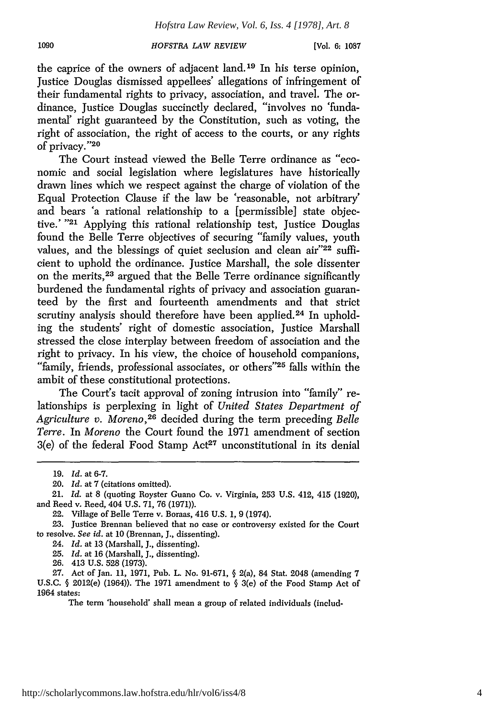the caprice of the owners of adjacent land.<sup>19</sup> In his terse opinion, Justice Douglas dismissed appellees' allegations of infringement of their fundamental rights to privacy, association, and travel. The ordinance. Justice Douglas succinctly declared, "involves no 'fundamental' right guaranteed by the Constitution, such as voting, the right of association, the right of access to the courts, or any rights of privacy."<sup>20</sup>

The Court instead viewed the Belle Terre ordinance as "economic and social legislation where legislatures have historically drawn lines which we respect against the charge of violation of the Equal Protection Clause if the law be 'reasonable, not arbitrary' and bears 'a rational relationship to a [permissible] state objective.' **-21** Applying this rational relationship test, Justice Douglas found the Belle Terre objectives of securing "family values, youth values, and the blessings of quiet seclusion and clean air"22 sufficient to uphold the ordinance. Justice Marshall, the sole dissenter on the merits, 23 argued that the Belle Terre ordinance significantly burdened the fundamental rights of privacy and association guaranteed by the first and fourteenth amendments and that strict scrutiny analysis should therefore have been applied.<sup>24</sup> In upholding the students' right of domestic association, Justice Marshall stressed the close interplay between freedom of association and the right to privacy. In his view, the choice of household companions, "family, friends, professional associates, or others"<sup>25</sup> falls within the ambit of these constitutional protections.

The Court's tacit approval of zoning intrusion into "family" relationships is perplexing in light of *United States Department of* Agriculture v. Moreno,<sup>26</sup> decided during the term preceding *Belle Terre.* In *Moreno* the Court found the 1971 amendment of section  $3(e)$  of the federal Food Stamp Act<sup>27</sup> unconstitutional in its denial

The term 'household' shall mean a group of related individuals (includ-

<sup>19.</sup> *Id.* at 6-7.

<sup>20.</sup> *Id.* at 7 (citations omitted).

<sup>21.</sup> *Id.* at 8 (quoting Royster Guano Co. v. Virginia, 253 U.S. 412, 415 (1920), and Reed v. Reed, 404 U.S. 71, 76 (1971)).

<sup>22.</sup> Village of Belle Terre v. Boraas, 416 U.S. 1, 9 (1974).

<sup>23.</sup> Justice Brennan believed that no case or controversy existed for the Court to resolve. *See id.* at 10 (Brennan, J., dissenting).

<sup>24.</sup> *Id.* at 13 (Marshall, J., dissenting).

<sup>25.</sup> *Id.* at 16 (Marshall, J., dissenting).

<sup>26. 413</sup> U.S. 528 (1973).

<sup>27.</sup> Act of Jan. 11, 1971, Pub. L. No. 91-671, § 2(a), 84 Stat. 2048 (amending 7 U.S.C. § 2012(e) (1964)). The 1971 amendment to § 3(e) of the Food Stamp Act of 1964 states: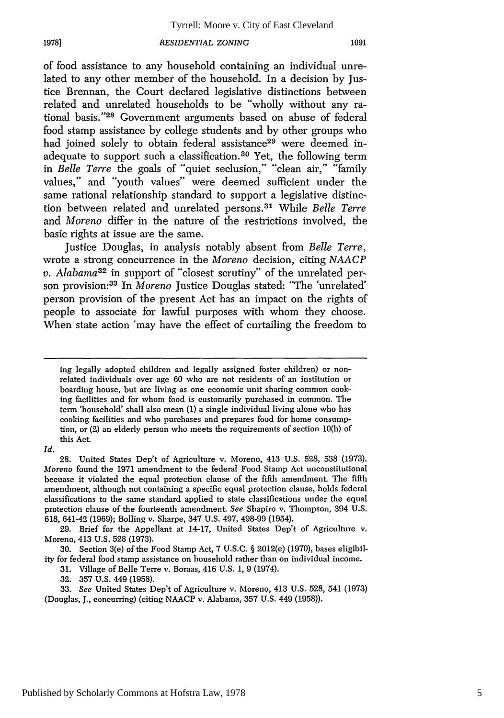of food assistance to any household containing an individual unrelated to any other member of the household. In a decision by Justice Brennan, the Court declared legislative distinctions between related and unrelated households to be "wholly without any rational basis."<sup>28</sup> Government arguments based on abuse of federal food stamp assistance by college students and by other groups who had joined solely to obtain federal assistance<sup>29</sup> were deemed inadequate to support such a classification. 30 Yet, the following term in *Belle Terre* the goals of "quiet seclusion," "clean air," "family values," and "youth values" were deemed sufficient under the same rational relationship standard to support a legislative distinction between related and unrelated persons. 31 While *Belle Terre* and *Moreno* differ in the nature of the restrictions involved, the basic rights at issue are the same.

Justice Douglas, in analysis notably absent from *Belle Terre,* wrote a strong concurrence in the *Moreno* decision, citing *NAACP v. Alabama32* in support of "closest scrutiny" of the unrelated person provision:33 In *Moreno* Justice Douglas stated: "The 'unrelated' person provision of the present Act has an impact on the rights of people to associate for lawful purposes with whom they choose. When state action 'may have the effect of curtailing the freedom to

*Id.*

**1978]**

29. Brief for the Appellant at 14-17, United States Dep't of Agriculture v. Moreno, 413 U.S. 528 (1973).

31. Village of Belle Terre v. Boraas, 416 U.S. 1, 9 (1974).

32. 357 U.S. 449 (1958).

33. *See* United States Dep't of Agriculture v. Moreno, 413 U.S. 528, 541 (1973) (Douglas, J., concurring) (citing NAACP v. Alabama, 357 U.S. 449 (1958)).

ing legally adopted children and legally assigned foster children) or nonrelated individuals over age 60 who are not residents of an institution or boarding house, but are living as one economic unit sharing common cooking facilities and for whom food is customarily purchased in common. The term 'household' shall also mean (1) a single individual living alone who has cooking facilities and who purchases and prepares food for home consumption, or (2) an elderly person who meets the requirements of section 10(h) of this Act.

<sup>28.</sup> United States Dep't of Agriculture v. Moreno, 413 U.S. 528, 538 (1973). *Moreno* found the 1971 amendment to the federal Food Stamp Act unconstitutional becuase it violated the equal protection clause of the fifth amendment. The fifth amendment, although not containing a specific equal protection clause, holds federal classifications to the same standard applied to state classifications under the equal protection clause of the fourteenth amendment. *See* Shapiro v. Thompson, 394 U.S. 618, 641-42 (1969); Bolling v. Sharpe, 347 U.S. 497, 498-99 (1954).

<sup>30.</sup> Section 3(e) of the Food Stamp Act, 7 U.S.C. § 2012(e) (1970), bases eligibility for federal food stamp assistance on household rather than on individual income.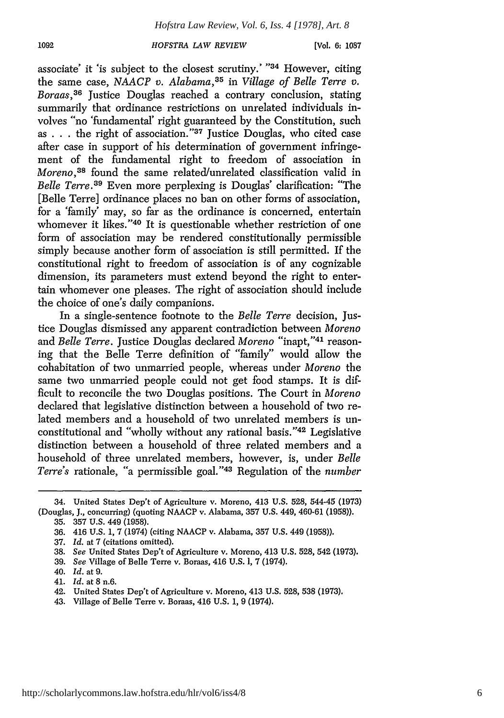**[Vol. 6: 1087**

associate' it 'is subject to the closest scrutiny.' "34 However, citing the same case, *NAACP v. Alabama,35* in *Village of Belle Terre v. Boraas,36* Justice Douglas reached a contrary conclusion, stating summarily that ordinance restrictions on unrelated individuals involves "no 'fundamental' right guaranteed by the Constitution, such as . . . the right of association."<sup>37</sup> Justice Douglas, who cited case after case in support of his determination of government infringement of the fundamental right to freedom of association in *Moreno,38* found the same related/unrelated classification valid in *Belle Terre.39* Even more perplexing is Douglas' clarification: "The [Belle Terre] ordinance places no ban on other forms of association, for a 'family' may, so far as the ordinance is concerned, entertain whomever it likes."<sup>40</sup> It is questionable whether restriction of one form of association may be rendered constitutionally permissible simply because another form of association is still permitted. If the constitutional right to freedom of association is of any cognizable dimension, its parameters must extend beyond the right to entertain whomever one pleases. The right of association should include the choice of one's daily companions.

In a single-sentence footnote to the *Belle Terre* decision, Justice Douglas dismissed any apparent contradiction between *Moreno* and *Belle Terre*. Justice Douglas declared *Moreno* "inapt,"<sup>41</sup> reasoning that the Belle Terre definition of "family" would allow the cohabitation of two unmarried people, whereas under *Moreno* the same two unmarried people could not get food stamps. It is difficult to reconcile the two Douglas positions. The Court in *Moreno* declared that legislative distinction between a household of two related members and a household of two unrelated members is unconstitutional and "wholly without any rational basis."<sup>42</sup> Legislative distinction between a household of three related members and a household of three unrelated members, however, is, under *Belle Terre's* rationale, "a permissible goal." 43 Regulation of the *number*

- 37. *Id.* at 7 (citations omitted).
- 38. *See* United States Dep't of Agriculture v. Moreno, 413 U.S. 528, 542 (1973).
- **39.** *See* Village of Belle Terre v. Boraas, 416 **U.S. 1,** 7 (1974).
- 40. *Id.* at 9.
- 41. *Id.* at 8 n.6.
- 42. United States Dep't of Agriculture v. Moreno, 413 U.S. 528, 538 (1973).
- 43. Village of Belle Terre v. Boraas, 416 U.S. 1, 9 (1974).

<sup>34.</sup> United States Dep't of Agriculture v. Moreno, 413 U.S. 528, 544-45 (1973) (Douglas, J., concurring) (quoting NAACP v. Alabama, 357 U.S. 449, 460-61 (1958)).

<sup>35. 357</sup> U.S. 449 (1958).

<sup>36. 416</sup> U.S. 1, 7 (1974) (citing NAACP v. Alabama, 357 U.S. 449 (1958)).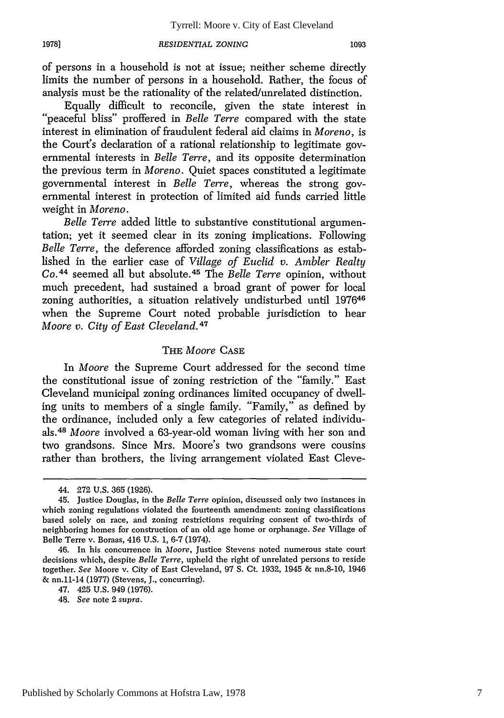of persons in a household is not at issue; neither scheme directly limits the number of persons in a household. Rather, the focus of analysis must be the rationality of the related/unrelated distinction.

Equally difficult to reconcile, given the state interest in "peaceful bliss" proffered in *Belle Terre* compared with the state interest in elimination of fraudulent federal aid claims in *Moreno,* is the Court's declaration of a rational relationship to legitimate governmental interests in *Belle Terre,* and its opposite determination the previous term in *Moreno.* Quiet spaces constituted a legitimate governmental interest in *Belle Terre,* whereas the strong governmental interest in protection of limited aid funds carried little weight in *Moreno.*

*Belle Terre* added little to substantive constitutional argumentation; yet it seemed clear in its zoning implications. Following *Belle Terre,* the deference afforded zoning classifications as established in the earlier case of *Village of Euclid v. Ambler Realty Co. <sup>4</sup> <sup>4</sup>*seemed all but absolute. <sup>4</sup> 5 The *Belle Terre* opinion, without much precedent, had sustained a broad grant of power for local zoning authorities, a situation relatively undisturbed until 197646 when the Supreme Court noted probable jurisdiction to hear *Moore v. City of East Cleveland.47*

## THE *Moore* CASE

In *Moore* the Supreme Court addressed for the second time the constitutional issue of zoning restriction of the "family." East Cleveland municipal zoning ordinances limited occupancy of dwelling units to members of a single family. "Family," as defined by the ordinance, included only a few categories of related individuals. <sup>48</sup>*Moore* involved a 63-year-old woman living with her son and two grandsons. Since Mrs. Moore's two grandsons were cousins rather than brothers, the living arrangement violated East Cleve-

<sup>44. 272</sup> U.S. 365 (1926).

<sup>45.</sup> Justice Douglas, in the *Belle Terre* opinion, discussed only two instances in which zoning regulations violated the fourteenth amendment: zoning classifications based solely on race, and zoning restrictions requiring consent of two-thirds of neighboring homes for construction of an old age home or orphanage. *See* Village of Belle Terre v. Boraas, 416 U.S. **1,** 6-7 (1974).

<sup>46.</sup> In his concurrence in *Moore,* Justice Stevens noted numerous state court decisions which, despite *Belle Terre,* upheld the right of unrelated persons to reside together. *See* Moore v. City of East Cleveland, 97 **S.** Ct. 1932, 1945 & nn.8-10, 1946 & nn.11-14 (1977) (Stevens, J., concurring).

<sup>47. 425</sup> U.S. 949 (1976).

<sup>48.</sup> *See* note 2 *supra.*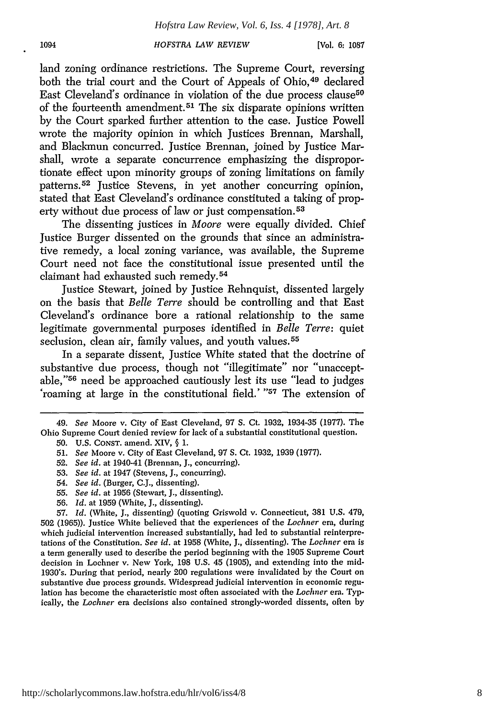land zoning ordinance restrictions. The Supreme Court, reversing both the trial court and the Court of Appeals of Ohio.<sup>49</sup> declared East Cleveland's ordinance in violation of the due process clause<sup>50</sup> of the fourteenth amendment. 51 The six disparate opinions written by the Court sparked further attention to the case. Justice Powell wrote the majority opinion in which Justices Brennan, Marshall, and Blackmun concurred. Justice Brennan, joined by Justice Marshall, wrote a separate concurrence emphasizing the disproportionate effect upon minority groups of zoning limitations on family patterns. 52 Justice Stevens, in yet another concurring opinion, stated that East Cleveland's ordinance constituted a taking of property without due process of law or just compensation. 53

The dissenting justices in *Moore* were equally divided. Chief Justice Burger dissented on the grounds that since an administrative remedy, a local zoning variance, was available, the Supreme Court need not face the constitutional issue presented until the claimant had exhausted such remedy. <sup>54</sup>

Justice Stewart, joined by Justice Rehnquist, dissented largely on the basis that *Belle Terre* should be controlling and that East Cleveland's ordinance bore a rational relationship to the same legitimate governmental purposes identified in *Belle Terre:* quiet seclusion, clean air, family values, and youth values.<sup>55</sup>

In a separate dissent, Justice White stated that the doctrine of substantive due process, though not "illegitimate" nor "unacceptable," 56 need be approached cautiously lest its use "lead to judges 'roaming at large in the constitutional field.' **"57** The extension of

- 53. *See id.* at 1947 (Stevens, J., concurring).
- 54. *See id.* (Burger, C.J., dissenting).
- 55. *See id.* at 1956 (Stewart, J., dissenting).
- 56. *Id.* at 1959 (White, J., dissenting).

57. *Id.* (White, J., dissenting) (quoting Griswold v. Connecticut, 381 U.S. 479, 502 (1965)). Justice White believed that the experiences of the *Lochner* era, during which judicial intervention increased substantially, had led to substantial reinterpretations of the Constitution. *See id.* at 1958 (White, J., dissenting). The *Lochner* era is a term generally used to describe the period beginning with the 1905 Supreme Court decision in Lochner v. New York, 198 U.S. 45 (1905), and extending into the mid-1930's. During that period, nearly 200 regulations were invalidated by the Court on substantive due process grounds. Widespread judicial intervention in economic regulation has become the characteristic most often associated with the *Lochner* era. Typically, the *Lochner* era decisions also contained strongly-worded dissents, often by

<sup>49.</sup> *See* Moore v. City of East Cleveland, 97 S. Ct. 1932, 1934-35 (1977). The Ohio Supreme Court denied review for lack of a substantial constitutional question. 50. U.S. CONST. amend. XIV, § 1.

<sup>51.</sup> *See* Moore v. City of East Cleveland, 97 **S.** Ct. 1932, 1939 (1977).

<sup>52.</sup> *See id.* at 1940-41 (Brennan, J., concurring).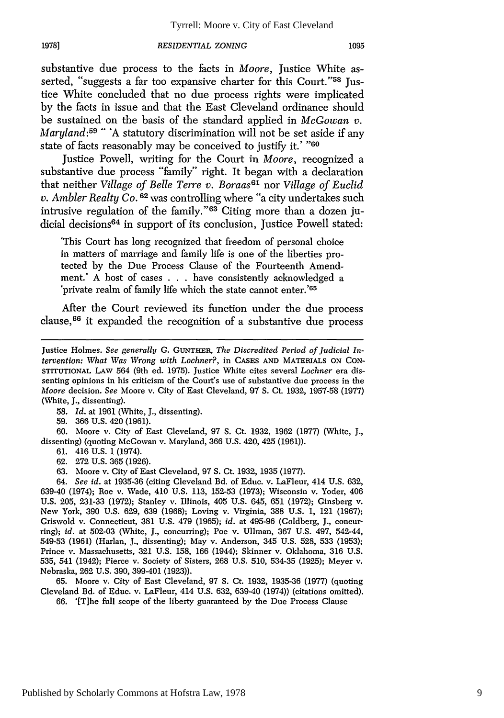substantive due process to the facts in *Moore*, Justice White asserted, "suggests a far too expansive charter for this Court."<sup>58</sup> Justice White concluded that no due process rights were implicated by the facts in issue and that the East Cleveland ordinance should be sustained on the basis of the standard applied in *McGowan v. Maryland:59* " 'A statutory discrimination will not be set aside if any state of facts reasonably may be conceived to justify it.' **"60**

Justice Powell, writing for the Court in *Moore,* recognized a substantive due process "family" right. It began with a declaration that neither *Village of Belle Terre v. Boraas61* nor *Village of Euclid v. Ambler Realty Co.* **6 <sup>2</sup>**was controlling where "a city undertakes such intrusive regulation of the family." 63 Citing more than a dozen judicial decisions<sup>64</sup> in support of its conclusion, Justice Powell stated:

'This Court has long recognized that freedom of personal choice in matters of marriage and family life is one of the liberties protected by the Due Process Clause of the Fourteenth Amendment.' A host of cases . . . have consistently acknowledged a 'private realm of family life which the state cannot enter.'<sup>65</sup>

After the Court reviewed its function under the due process clause, 66 it expanded the recognition of a substantive due process

59. 366 U.S. 420 (1961).

**1978]**

60. Moore v. City of East Cleveland, 97 S. Ct. 1932, 1962 (1977) (White, J., dissenting) (quoting McGowan v. Maryland, 366 U.S. 420, 425 (1961)).

61. 416 U.S. 1 (1974).

62. 272 U.S. 365 (1926).

63. Moore v. City of East Cleveland, 97 **S.** Ct. 1932, 1935 (1977).

64. *See id.* at 1935-36 (citing Cleveland Bd. of Educ. v. LaFleur, 414 U.S. 632, 639-40 (1974); Roe v. Wade, 410 U.S. 113, 152-53 (1973); Wisconsin v. Yoder, 406 U.S. 205, 231-33 (1972); Stanley v. Illinois, 405 U.S. 645, 651 (1972); Ginsberg v. New York, 390 U.S. 629, 639 (1968); Loving v. Virginia, 388 U.S. 1, 121 (1967); Griswold v. Connecticut, 381 U.S. 479 (1965); *id.* at 495-96 (Goldberg, J., concurring); *id.* at 502-03 (White, J., concurring); Poe v. Ullman, 367 U.S. 497, 542-44, 549-53 (1961) (Harlan, J., dissenting); May v. Anderson, 345 U.S. 528, 533 (1953); Prince v. Massachusetts, 321 U.S. 158, 166 (1944); Skinner v. Oklahoma, 316 U.S. 535, 541 (1942); Pierce v. Society of Sisters, 268 U.S. 510, 534-35 (1925); Meyer v. Nebraska, 262 U.S. 390, 399-401 (1923)).

65. Moore v. City of East Cleveland, 97 S. Ct. 1932, 1935-36 (1977) (quoting Cleveland Bd. of Educ. v. LaFleur, 414 U.S. 632, 639-40 (1974)) (citations omitted). 66. '[T]he full scope of the liberty guaranteed by the Due Process Clause

Justice Holmes. *See generally C.* **GUNTHER,** *The Discredited Period of Judicial Intervention: What Was Wrong with Lochner?,* in **CASES AND** MATERIALS **ON CON-**STITUTIONAL LAw 564 (9th ed. 1975). Justice White cites several *Lochner* era dissenting opinions in his criticism of the Court's use of substantive due process in the *Moore* decision. *See* Moore v. City of East Cleveland, 97 **S.** Ct. 1932, 1957-58 (1977) (White, J., dissenting).

<sup>58.</sup> *Id.* at 1961 (White, J., dissenting).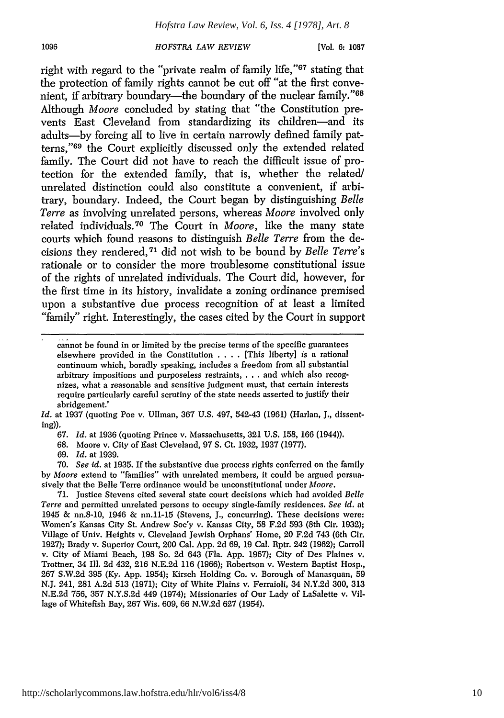**[Vol. 6: 1087**

right with regard to the "private realm of family life,"<sup>67</sup> stating that the protection of family rights cannot be cut off "at the first convenient, if arbitrary boundary—the boundary of the nuclear family." 68 Although *Moore* concluded by stating that "the Constitution prevents East Cleveland from standardizing its children-and its adults-by forcing all to live in certain narrowly defined family patterns," 69 the Court explicitly discussed only the extended related family. The Court did not have to reach the difficult issue of protection for the extended family, that is, whether the related/ unrelated distinction could also constitute a convenient, if arbitrary, boundary. Indeed, the Court began by distinguishing *Belle Terre* as involving unrelated persons, whereas *Moore* involved only related individuals. 70 The Court in *Moore,* like the many state courts which found reasons to distinguish *Belle Terre* from the decisions they rendered, 71 did not wish to be bound by *Belle Terre's* rationale or to consider the more troublesome constitutional issue of the rights of unrelated individuals. The Court did, however, for the first time in its history, invalidate a zoning ordinance premised upon a substantive due process recognition of at least a limited "family" right. Interestingly, the cases cited by the Court in support

*Id.* at 1937 (quoting Poe v. Ullman, 367 U.S. 497, 542-43 (1961) (Harlan, J., dissenting)).

69. *Id.* at 1939.

**70.** *See id.* at 1935. If the substantive due process rights conferred on the family by *Moore* extend to "families" with unrelated members, it could be argued persuasively that the Belle Terre ordinance would be unconstitutional under *Moore.*

71. Justice Stevens cited several state court decisions which had avoided *Belle Terre* and permitted unrelated persons to occupy single-family residences. *See id.* at 1945 & nn.8-10, 1946 & nn.11-15 (Stevens, J., concurring). These decisions were: Women's Kansas City St. Andrew Soc'y v. Kansas City, 58 F.2d 593 (8th Cir. 1932); Village of Univ. Heights v. Cleveland Jewish Orphans' Home, 20 F.2d 743 (6th Cir. 1927); Brady v. Superior Court, 200 Cal. App. 2d 69, 19 Cal. Rptr. 242 (1962); Carroll v. City of Miami Beach, 198 So. 2d 643 (Fla. App. 1967); City of Des Plaines v. Trottner, 34 Ill. 2d 432, 216 N.E.2d 116 (1966); Robertson v. Western Baptist Hosp., 267 S.W.2d 395 (Ky. **App.** 1954); Kirsch Holding Co. v. Borough of Manasquan, 59 N.J. 241, 281 A.2d 513 (1971); City of White Plains v. Ferraioli, 34 N.Y.2d 300, 313 N.E.2d 756, 357 N.Y.S.2d 449 (1974); Missionaries of Our Lady of LaSalette v. Village of Whitefish Bay, 267 Wis. 609, 66 N.W.2d 627 (1954).

1096

cannot be found in or limited **by** the precise terms of the specific guarantees elsewhere provided in the Constitution . **. .** . [This liberty] is a rational continuum which, boradly speaking, includes a freedom from all substantial arbitrary impositions and purposeless restraints, . . . and which also recognizes, what a reasonable and sensitive judgment must, that certain interests require particularly careful scrutiny of the state needs asserted to justify their abridgement.'

<sup>67.</sup> *Id.* at 1936 (quoting Prince v. Massachusetts, 321 U.S. 158, 166 (1944)).

<sup>68.</sup> Moore v. City of East Cleveland, 97 **S.** Ct. 1932, 1937 (1977).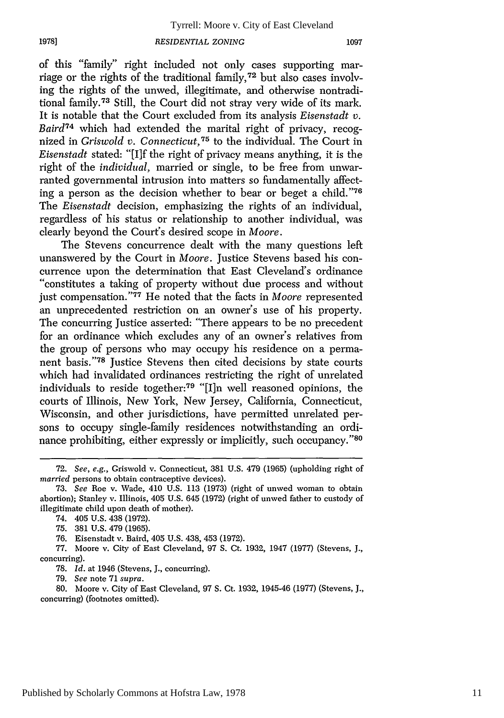of this "family" right included not only cases supporting marriage or the rights of the traditional family, 72 but also cases involving the rights of the unwed, illegitimate, and otherwise nontraditional family. 73 Still, the Court did not stray very wide of its mark. It is notable that the Court excluded from its analysis *Eisenstadt v. Baird74* which had extended the marital right of privacy, recognized in *Griswold v. Connecticut,75* to the individual. The Court in *Eisenstadt* stated: "[If the right of privacy means anything, it is the right of the *individual,* married or single, to be free from unwarranted governmental intrusion into matters so fundamentally affecting a person as the decision whether to bear or beget a child."76 The *Eisenstadt* decision, emphasizing the rights of an individual, regardless of his status or relationship to another individual, was clearly beyond the Court's desired scope in *Moore.*

The Stevens concurrence dealt with the many questions left unanswered by the Court in *Moore.* Justice Stevens based his concurrence upon the determination that East Cleveland's ordinance "constitutes a taking of property without due process and without just compensation."<sup>77</sup> He noted that the facts in *Moore* represented an unprecedented restriction on an owner's use of his property. The concurring Justice asserted: "There appears to be no precedent for an ordinance which excludes any of an owner's relatives from the group of persons who may occupy his residence on a permanent basis."78 Justice Stevens then cited decisions by state courts which had invalidated ordinances restricting the right of unrelated individuals to reside together:79 "[I]n well reasoned opinions, the courts of Illinois, New York, New Jersey, California, Connecticut, Wisconsin, and other jurisdictions, have permitted unrelated persons to occupy single-family residences notwithstanding an ordinance prohibiting, either expressly or implicitly, such occupancy."<sup>80</sup>

76. Eisenstadt v. Baird, 405 U.S. 438, 453 (1972).

77. Moore v. City of East Cleveland, 97 **S.** Ct. 1932, 1947 (1977) (Stevens, J., concurring).

78. *Id.* at 1946 (Stevens, **J.,** concurring).

79. *See* note 71 *supra.*

80. Moore v. City of East Cleveland, 97 **S.** Ct. 1932, 1945-46 (1977) (Stevens, **J.,** concurring) (footnotes omitted).

<sup>72.</sup> *See, e.g.,* Griswold v. Connecticut, 381 U.S. 479 (1965) (upholding right of *married* persons to obtain contraceptive devices).

<sup>73.</sup> See Roe v. Wade, 410 U.S. 113 (1973) (right of unwed woman to obtain abortion); Stanley v. Illinois, 405 U.S. 645 (1972) (right of unwed father to custody of illegitimate child upon death of mother).

<sup>74. 405</sup> U.S. 438 (1972).

<sup>75. 381</sup> U.S. 479 (1965).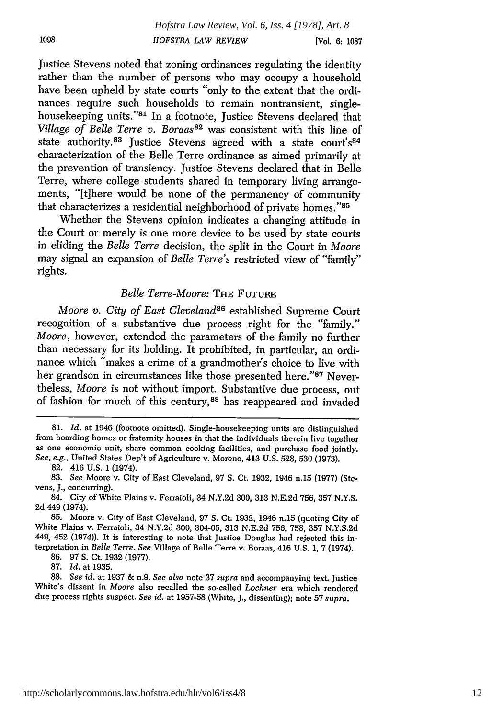Justice Stevens noted that zoning ordinances regulating the identity rather than the number of persons who may occupy a household have been upheld by state courts "only to the extent that the ordinances require such households to remain nontransient, singlehousekeeping units."<sup>81</sup> In a footnote, Justice Stevens declared that *Village of Belle Terre v. Boraas*<sup>82</sup> was consistent with this line of state authority.<sup>83</sup> Justice Stevens agreed with a state court's<sup>84</sup> characterization of the Belle Terre ordinance as aimed primarily at the prevention of transiency. Justice Stevens declared that in Belle Terre, where college students shared in temporary living arrangements, "[t]here would be none of the permanency of community that characterizes a residential neighborhood of private homes."85

Whether the Stevens opinion indicates a changing attitude in the Court or merely is one more device to be used by state courts in eliding the *Belle Terre* decision, the split in the Court in *Moore* may signal an expansion of *Belle Terre's* restricted view of "family" rights.

# *Belle Terre-Moore:* THE FUTURE

*Moore v. City of East Cleveland*<sup>86</sup> established Supreme Court recognition of a substantive due process right for the "family." *Moore,* however, extended the parameters of the family no further than necessary for its holding. It prohibited, in particular, an ordinance which "makes a crime of a grandmother's choice to live with her grandson in circumstances like those presented here."87 Nevertheless, *Moore* is not without import. Substantive due process, out of fashion for much of this century,<sup>88</sup> has reappeared and invaded

1098

86. 97 **S.** Ct. 1932 (1977).

87. *Id.* at 1935.

<sup>81.</sup> *Id.* at 1946 (footnote omitted). Single-housekeeping units are distinguished from boarding homes or fraternity houses in that the individuals therein live together as one economic unit, share common cooking facilities, and purchase food jointly. *See, e.g.,* United States Dep't of Agriculture v. Moreno, 413 U.S. 528, 530 (1973).

<sup>82. 416</sup> U.S. 1 (1974).

<sup>83.</sup> *See* Moore v. City of East Cleveland, 97 **S.** Ct. 1932, 1946 n.15 (1977) (Stevens, J., concurring).

<sup>84.</sup> City of White Plains v. Ferraioli, 34 N.Y.2d 300, 313 N.E.2d 756, **357** N.Y.S. 2d 449 (1974).

<sup>85.</sup> Moore v. City of East Cleveland, 97 **S.** Ct. 1932, 1946 n.15 (quoting City of White Plains v. Ferraioli, 34 N.Y.2d 300, 304-05, 313 N.E.2d 756, 758, **357** N.Y.S.2d 449, 452 (1974)). It is interesting to note that Justice Douglas had rejected this interpretation in *Belle Terre. See* Village of Belle Terre v. Boraas, 416 U.S. **1,** 7 (1974).

<sup>88.</sup> *See id.* at 1937 & n.9. *See also* note 37 *supra* and accompanying text. Justice White's dissent in *Moore* also recalled the so-called *Lochner* era which rendered due process rights suspect. *See id.* at 1957-58 (White, J., dissenting); note 57 *supra.*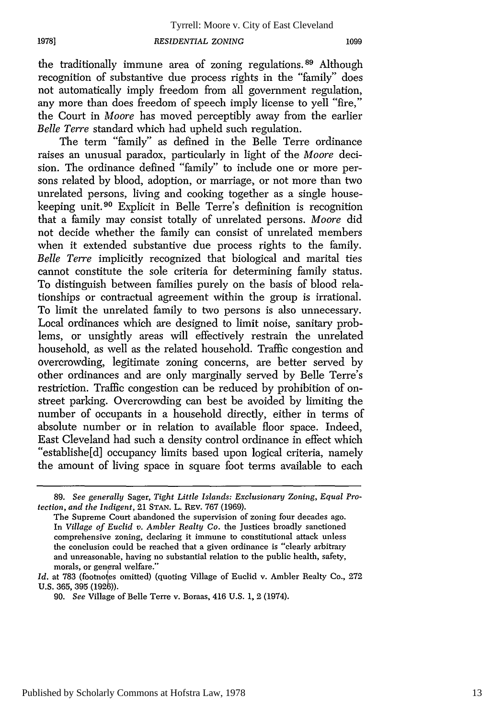**1978]**

the traditionally immune area of zoning regulations.<sup>89</sup> Although recognition of substantive due process rights in the "family" does not automatically imply freedom from all government regulation, any more than does freedom of speech imply license to yell "fire," the Court in *Moore* has moved perceptibly away from the earlier *Belle Terre* standard which had upheld such regulation.

The term "family" as defined in the Belle Terre ordinance raises an unusual paradox, particularly in light of the *Moore* decision. The ordinance defined "family" to include one or more persons related by blood, adoption, or marriage, or not more than two unrelated persons, living and cooking together as a single housekeeping unit. 90 Explicit in Belle Terre's definition is recognition that a family may consist totally of unrelated persons. *Moore* did not decide whether the family can consist of unrelated members when it extended substantive due process rights to the family. *Belle Terre* implicitly recognized that biological and marital ties cannot constitute the sole criteria for determining family status. To distinguish between families purely on the basis of blood relationships or contractual agreement within the group is irrational. To limit the unrelated family to two persons is also unnecessary. Local ordinances which are designed to limit noise, sanitary problems, or unsightly areas will effectively restrain the unrelated household, as well as the related household. Traffic congestion and overcrowding, legitimate zoning concerns, are better served by other ordinances and are only marginally served by Belle Terre's restriction. Traffic congestion can be reduced by prohibition of onstreet parking. Overcrowding can best be avoided by limiting the number of occupants in a household directly, either in terms of absolute number or in relation to available floor space. Indeed, East Cleveland had such a density control ordinance in effect which "establishe[d] occupancy limits based upon logical criteria, namely the amount of living space in square foot terms available to each

<sup>89.</sup> *See generally* Sager, *Tight Little Islands: Exclusionarj Zoning, Equal Protection, and the Indigent,* 21 **STAN.** L. REv. **767 (1969).**

The Supreme Court abandoned the supervision of zoning four decades ago. In *Village of Euclid v. Ambler Realty Co.* the Justices broadly sanctioned comprehensive zoning, declaring it immune to constitutional attack unless the conclusion could be reached that a given ordinance is "clearly arbitrary and unreasonable, having no substantial relation to the public health, safety, morals, or general welfare."

Id. at 783 (footnotes omitted) (quoting Village of Euclid v. Ambler Realty Co., 272 U.S. 365, 395 (1926)).

<sup>90.</sup> *See* Village of Belle Terre v. Boraas, 416 U.S. 1, **2** (1974).